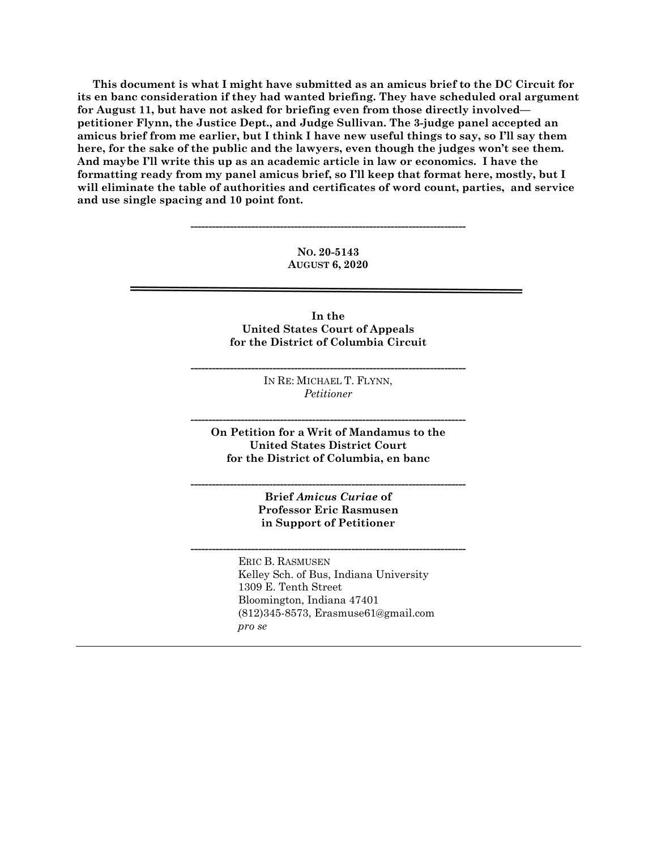**This document is what I might have submitted as an amicus brief to the DC Circuit for its en banc consideration if they had wanted briefing. They have scheduled oral argument for August 11, but have not asked for briefing even from those directly involved petitioner Flynn, the Justice Dept., and Judge Sullivan. The 3-judge panel accepted an amicus brief from me earlier, but I think I have new useful things to say, so I'll say them here, for the sake of the public and the lawyers, even though the judges won't see them. And maybe I'll write this up as an academic article in law or economics. I have the formatting ready from my panel amicus brief, so I'll keep that format here, mostly, but I will eliminate the table of authorities and certificates of word count, parties, and service and use single spacing and 10 point font.** 

> **NO. 20-5143 AUGUST 6, 2020**

**-----------------------------------------------------------------------------** 

**In the United States Court of Appeals for the District of Columbia Circuit** 

> IN RE: MICHAEL T. FLYNN, *Petitioner*

**-----------------------------------------------------------------------------** 

**On Petition for a Writ of Mandamus to the United States District Court for the District of Columbia, en banc** 

**-----------------------------------------------------------------------------** 

**-----------------------------------------------------------------------------** 

**Brief** *Amicus Curiae* **of Professor Eric Rasmusen in Support of Petitioner** 

**-----------------------------------------------------------------------------** 

 ERIC B. RASMUSEN Kelley Sch. of Bus, Indiana University 1309 E. Tenth Street Bloomington, Indiana 47401 (812)345-8573, Erasmuse61@gmail.com *pro se*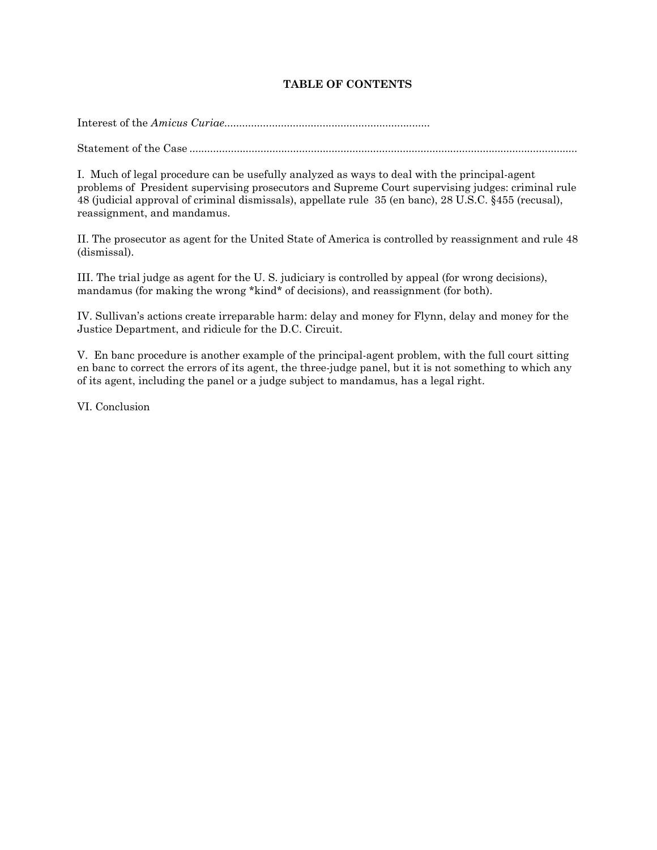# **TABLE OF CONTENTS**

Interest of the *Amicus Curiae*.....................................................................

Statement of the Case ...................................................................................................................................

I. Much of legal procedure can be usefully analyzed as ways to deal with the principal-agent problems of President supervising prosecutors and Supreme Court supervising judges: criminal rule 48 (judicial approval of criminal dismissals), appellate rule 35 (en banc), 28 U.S.C. §455 (recusal), reassignment, and mandamus.

II. The prosecutor as agent for the United State of America is controlled by reassignment and rule 48 (dismissal).

III. The trial judge as agent for the U. S. judiciary is controlled by appeal (for wrong decisions), mandamus (for making the wrong \*kind\* of decisions), and reassignment (for both).

IV. Sullivan's actions create irreparable harm: delay and money for Flynn, delay and money for the Justice Department, and ridicule for the D.C. Circuit.

V. En banc procedure is another example of the principal-agent problem, with the full court sitting en banc to correct the errors of its agent, the three-judge panel, but it is not something to which any of its agent, including the panel or a judge subject to mandamus, has a legal right.

VI. Conclusion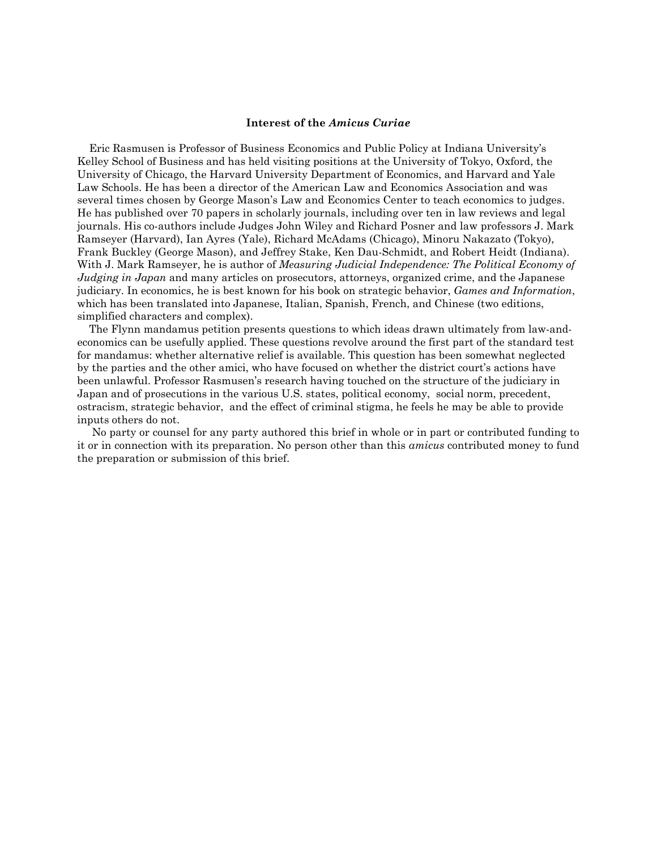#### **Interest of the** *Amicus Curiae*

 Eric Rasmusen is Professor of Business Economics and Public Policy at Indiana University's Kelley School of Business and has held visiting positions at the University of Tokyo, Oxford, the University of Chicago, the Harvard University Department of Economics, and Harvard and Yale Law Schools. He has been a director of the American Law and Economics Association and was several times chosen by George Mason's Law and Economics Center to teach economics to judges. He has published over 70 papers in scholarly journals, including over ten in law reviews and legal journals. His co-authors include Judges John Wiley and Richard Posner and law professors J. Mark Ramseyer (Harvard), Ian Ayres (Yale), Richard McAdams (Chicago), Minoru Nakazato (Tokyo), Frank Buckley (George Mason), and Jeffrey Stake, Ken Dau-Schmidt, and Robert Heidt (Indiana). With J. Mark Ramseyer, he is author of *Measuring Judicial Independence: The Political Economy of Judging in Japan* and many articles on prosecutors, attorneys, organized crime, and the Japanese judiciary. In economics, he is best known for his book on strategic behavior, *Games and Information*, which has been translated into Japanese, Italian, Spanish, French, and Chinese (two editions, simplified characters and complex).

 The Flynn mandamus petition presents questions to which ideas drawn ultimately from law-andeconomics can be usefully applied. These questions revolve around the first part of the standard test for mandamus: whether alternative relief is available. This question has been somewhat neglected by the parties and the other amici, who have focused on whether the district court's actions have been unlawful. Professor Rasmusen's research having touched on the structure of the judiciary in Japan and of prosecutions in the various U.S. states, political economy, social norm, precedent, ostracism, strategic behavior, and the effect of criminal stigma, he feels he may be able to provide inputs others do not.

 No party or counsel for any party authored this brief in whole or in part or contributed funding to it or in connection with its preparation. No person other than this *amicus* contributed money to fund the preparation or submission of this brief.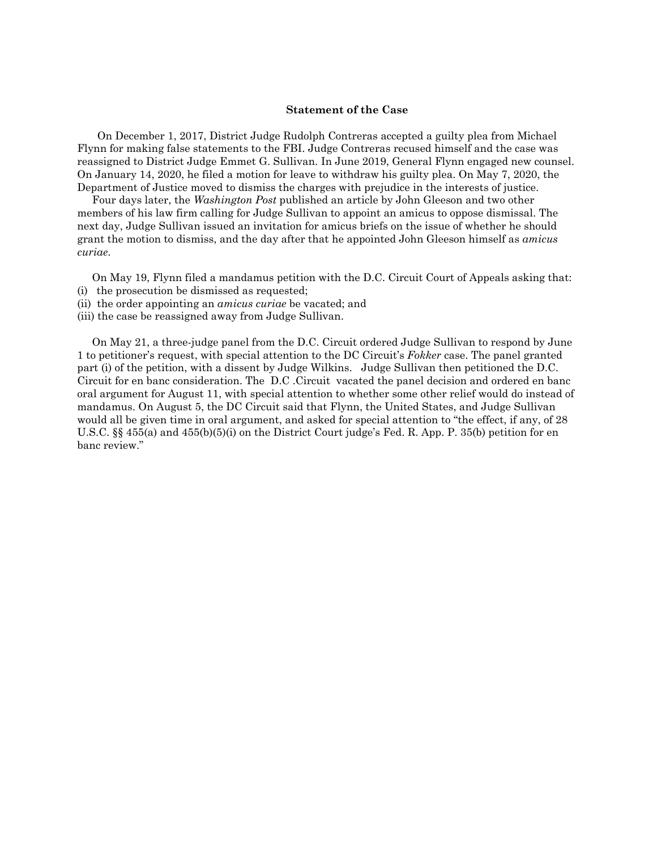#### **Statement of the Case**

On December 1, 2017, District Judge Rudolph Contreras accepted a guilty plea from Michael Flynn for making false statements to the FBI. Judge Contreras recused himself and the case was reassigned to District Judge Emmet G. Sullivan. In June 2019, General Flynn engaged new counsel. On January 14, 2020, he filed a motion for leave to withdraw his guilty plea. On May 7, 2020, the Department of Justice moved to dismiss the charges with prejudice in the interests of justice.

 Four days later, the *Washington Post* published an article by John Gleeson and two other members of his law firm calling for Judge Sullivan to appoint an amicus to oppose dismissal. The next day, Judge Sullivan issued an invitation for amicus briefs on the issue of whether he should grant the motion to dismiss, and the day after that he appointed John Gleeson himself as *amicus curiae*.

On May 19, Flynn filed a mandamus petition with the D.C. Circuit Court of Appeals asking that:

- (i) the prosecution be dismissed as requested;
- (ii) the order appointing an *amicus curiae* be vacated; and
- (iii) the case be reassigned away from Judge Sullivan.

 On May 21, a three-judge panel from the D.C. Circuit ordered Judge Sullivan to respond by June 1 to petitioner's request, with special attention to the DC Circuit's *Fokker* case. The panel granted part (i) of the petition, with a dissent by Judge Wilkins. Judge Sullivan then petitioned the D.C. Circuit for en banc consideration. The D.C .Circuit vacated the panel decision and ordered en banc oral argument for August 11, with special attention to whether some other relief would do instead of mandamus. On August 5, the DC Circuit said that Flynn, the United States, and Judge Sullivan would all be given time in oral argument, and asked for special attention to "the effect, if any, of 28 U.S.C. §§ 455(a) and 455(b)(5)(i) on the District Court judge's Fed. R. App. P. 35(b) petition for en banc review."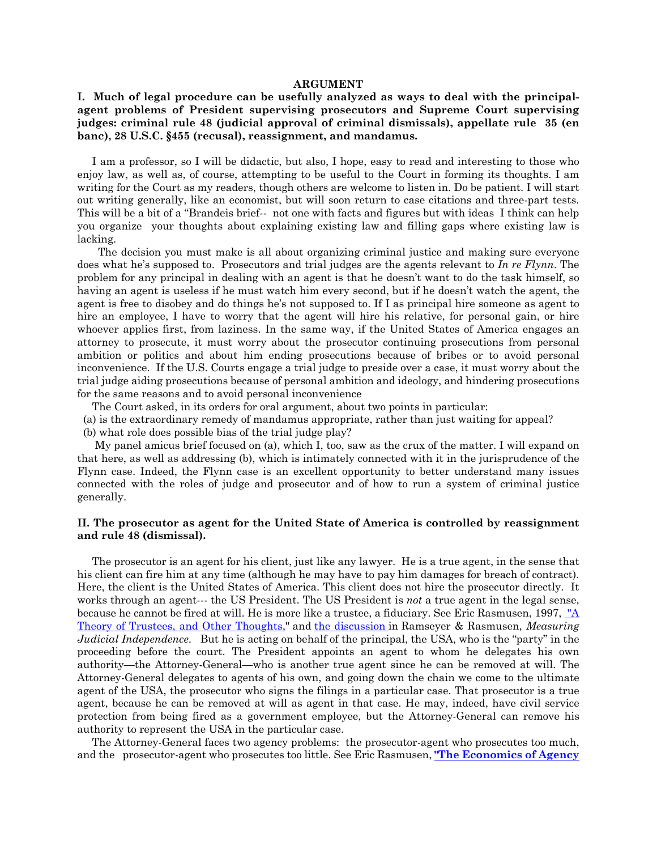#### **ARGUMENT**

## **I. Much of legal procedure can be usefully analyzed as ways to deal with the principalagent problems of President supervising prosecutors and Supreme Court supervising judges: criminal rule 48 (judicial approval of criminal dismissals), appellate rule 35 (en banc), 28 U.S.C. §455 (recusal), reassignment, and mandamus.**

 I am a professor, so I will be didactic, but also, I hope, easy to read and interesting to those who enjoy law, as well as, of course, attempting to be useful to the Court in forming its thoughts. I am writing for the Court as my readers, though others are welcome to listen in. Do be patient. I will start out writing generally, like an economist, but will soon return to case citations and three-part tests. This will be a bit of a "Brandeis brief-- not one with facts and figures but with ideas I think can help you organize your thoughts about explaining existing law and filling gaps where existing law is lacking.

 The decision you must make is all about organizing criminal justice and making sure everyone does what he's supposed to. Prosecutors and trial judges are the agents relevant to *In re Flynn*. The problem for any principal in dealing with an agent is that he doesn't want to do the task himself, so having an agent is useless if he must watch him every second, but if he doesn't watch the agent, the agent is free to disobey and do things he's not supposed to. If I as principal hire someone as agent to hire an employee, I have to worry that the agent will hire his relative, for personal gain, or hire whoever applies first, from laziness. In the same way, if the United States of America engages an attorney to prosecute, it must worry about the prosecutor continuing prosecutions from personal ambition or politics and about him ending prosecutions because of bribes or to avoid personal inconvenience. If the U.S. Courts engage a trial judge to preside over a case, it must worry about the trial judge aiding prosecutions because of personal ambition and ideology, and hindering prosecutions for the same reasons and to avoid personal inconvenience

The Court asked, in its orders for oral argument, about two points in particular:

- (a) is the extraordinary remedy of mandamus appropriate, rather than just waiting for appeal?
- (b) what role does possible bias of the trial judge play?

 My panel amicus brief focused on (a), which I, too, saw as the crux of the matter. I will expand on that here, as well as addressing (b), which is intimately connected with it in the jurisprudence of the Flynn case. Indeed, the Flynn case is an excellent opportunity to better understand many issues connected with the roles of judge and prosecutor and of how to run a system of criminal justice generally.

### **II. The prosecutor as agent for the United State of America is controlled by reassignment and rule 48 (dismissal).**

 The prosecutor is an agent for his client, just like any lawyer. He is a true agent, in the sense that his client can fire him at any time (although he may have to pay him damages for breach of contract). Here, the client is the United States of America. This client does not hire the prosecutor directly. It works through an agent--- the US President. The US President is *not* a true agent in the legal sense, because he cannot be fired at will. He is more like a trustee, a fiduciary. See Eric Rasmusen, 1997, "A Theory of Trustees, and Other Thoughts," and the discussion in Ramseyer & Rasmusen, *Measuring Judicial Independence*. But he is acting on behalf of the principal, the USA, who is the "party" in the proceeding before the court. The President appoints an agent to whom he delegates his own authority—the Attorney-General—who is another true agent since he can be removed at will. The Attorney-General delegates to agents of his own, and going down the chain we come to the ultimate agent of the USA, the prosecutor who signs the filings in a particular case. That prosecutor is a true agent, because he can be removed at will as agent in that case. He may, indeed, have civil service protection from being fired as a government employee, but the Attorney-General can remove his authority to represent the USA in the particular case.

 The Attorney-General faces two agency problems: the prosecutor-agent who prosecutes too much, and the prosecutor-agent who prosecutes too little. See Eric Rasmusen, **"The Economics of Agency**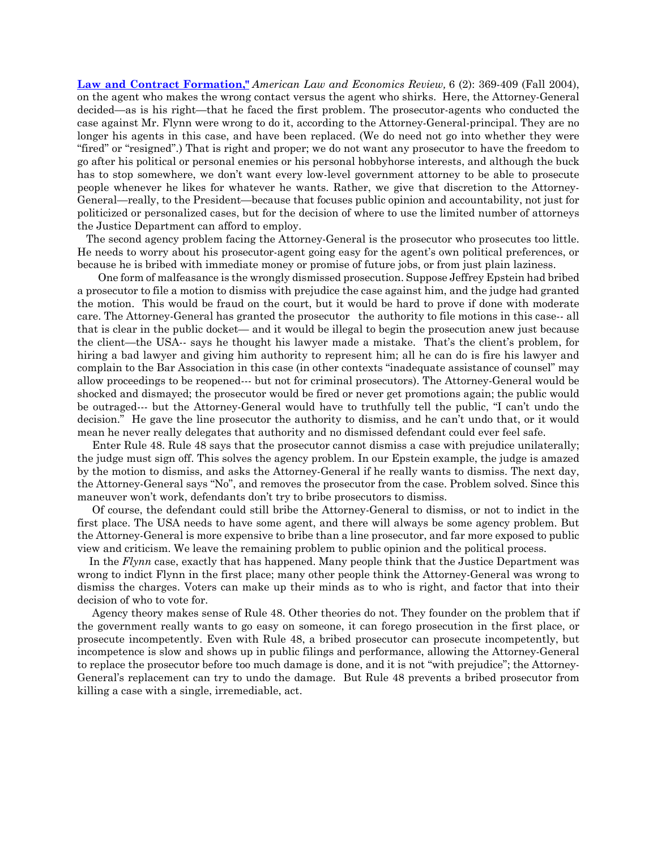**Law and Contract Formation,"** *American Law and Economics Review,* 6 (2): 369-409 (Fall 2004), on the agent who makes the wrong contact versus the agent who shirks. Here, the Attorney-General decided—as is his right—that he faced the first problem. The prosecutor-agents who conducted the case against Mr. Flynn were wrong to do it, according to the Attorney-General-principal. They are no longer his agents in this case, and have been replaced. (We do need not go into whether they were "fired" or "resigned".) That is right and proper; we do not want any prosecutor to have the freedom to go after his political or personal enemies or his personal hobbyhorse interests, and although the buck has to stop somewhere, we don't want every low-level government attorney to be able to prosecute people whenever he likes for whatever he wants. Rather, we give that discretion to the Attorney-General—really, to the President—because that focuses public opinion and accountability, not just for politicized or personalized cases, but for the decision of where to use the limited number of attorneys the Justice Department can afford to employ.

 The second agency problem facing the Attorney-General is the prosecutor who prosecutes too little. He needs to worry about his prosecutor-agent going easy for the agent's own political preferences, or because he is bribed with immediate money or promise of future jobs, or from just plain laziness.

 One form of malfeasance is the wrongly dismissed prosecution. Suppose Jeffrey Epstein had bribed a prosecutor to file a motion to dismiss with prejudice the case against him, and the judge had granted the motion. This would be fraud on the court, but it would be hard to prove if done with moderate care. The Attorney-General has granted the prosecutor the authority to file motions in this case-- all that is clear in the public docket— and it would be illegal to begin the prosecution anew just because the client—the USA-- says he thought his lawyer made a mistake. That's the client's problem, for hiring a bad lawyer and giving him authority to represent him; all he can do is fire his lawyer and complain to the Bar Association in this case (in other contexts "inadequate assistance of counsel" may allow proceedings to be reopened--- but not for criminal prosecutors). The Attorney-General would be shocked and dismayed; the prosecutor would be fired or never get promotions again; the public would be outraged--- but the Attorney-General would have to truthfully tell the public, "I can't undo the decision." He gave the line prosecutor the authority to dismiss, and he can't undo that, or it would mean he never really delegates that authority and no dismissed defendant could ever feel safe.

 Enter Rule 48. Rule 48 says that the prosecutor cannot dismiss a case with prejudice unilaterally; the judge must sign off. This solves the agency problem. In our Epstein example, the judge is amazed by the motion to dismiss, and asks the Attorney-General if he really wants to dismiss. The next day, the Attorney-General says "No", and removes the prosecutor from the case. Problem solved. Since this maneuver won't work, defendants don't try to bribe prosecutors to dismiss.

 Of course, the defendant could still bribe the Attorney-General to dismiss, or not to indict in the first place. The USA needs to have some agent, and there will always be some agency problem. But the Attorney-General is more expensive to bribe than a line prosecutor, and far more exposed to public view and criticism. We leave the remaining problem to public opinion and the political process.

 In the *Flynn* case, exactly that has happened. Many people think that the Justice Department was wrong to indict Flynn in the first place; many other people think the Attorney-General was wrong to dismiss the charges. Voters can make up their minds as to who is right, and factor that into their decision of who to vote for.

 Agency theory makes sense of Rule 48. Other theories do not. They founder on the problem that if the government really wants to go easy on someone, it can forego prosecution in the first place, or prosecute incompetently. Even with Rule 48, a bribed prosecutor can prosecute incompetently, but incompetence is slow and shows up in public filings and performance, allowing the Attorney-General to replace the prosecutor before too much damage is done, and it is not "with prejudice"; the Attorney-General's replacement can try to undo the damage. But Rule 48 prevents a bribed prosecutor from killing a case with a single, irremediable, act.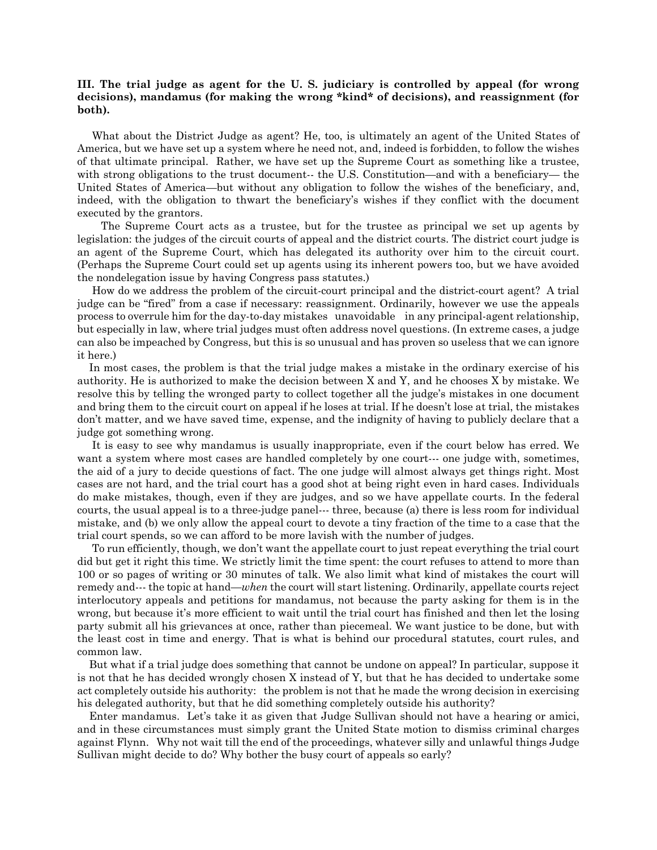## **III. The trial judge as agent for the U. S. judiciary is controlled by appeal (for wrong decisions), mandamus (for making the wrong \*kind\* of decisions), and reassignment (for both).**

 What about the District Judge as agent? He, too, is ultimately an agent of the United States of America, but we have set up a system where he need not, and, indeed is forbidden, to follow the wishes of that ultimate principal. Rather, we have set up the Supreme Court as something like a trustee, with strong obligations to the trust document-- the U.S. Constitution—and with a beneficiary— the United States of America—but without any obligation to follow the wishes of the beneficiary, and, indeed, with the obligation to thwart the beneficiary's wishes if they conflict with the document executed by the grantors.

 The Supreme Court acts as a trustee, but for the trustee as principal we set up agents by legislation: the judges of the circuit courts of appeal and the district courts. The district court judge is an agent of the Supreme Court, which has delegated its authority over him to the circuit court. (Perhaps the Supreme Court could set up agents using its inherent powers too, but we have avoided the nondelegation issue by having Congress pass statutes.)

 How do we address the problem of the circuit-court principal and the district-court agent? A trial judge can be "fired" from a case if necessary: reassignment. Ordinarily, however we use the appeals process to overrule him for the day-to-day mistakes unavoidable in any principal-agent relationship, but especially in law, where trial judges must often address novel questions. (In extreme cases, a judge can also be impeached by Congress, but this is so unusual and has proven so useless that we can ignore it here.)

 In most cases, the problem is that the trial judge makes a mistake in the ordinary exercise of his authority. He is authorized to make the decision between X and Y, and he chooses X by mistake. We resolve this by telling the wronged party to collect together all the judge's mistakes in one document and bring them to the circuit court on appeal if he loses at trial. If he doesn't lose at trial, the mistakes don't matter, and we have saved time, expense, and the indignity of having to publicly declare that a judge got something wrong.

 It is easy to see why mandamus is usually inappropriate, even if the court below has erred. We want a system where most cases are handled completely by one court--- one judge with, sometimes, the aid of a jury to decide questions of fact. The one judge will almost always get things right. Most cases are not hard, and the trial court has a good shot at being right even in hard cases. Individuals do make mistakes, though, even if they are judges, and so we have appellate courts. In the federal courts, the usual appeal is to a three-judge panel--- three, because (a) there is less room for individual mistake, and (b) we only allow the appeal court to devote a tiny fraction of the time to a case that the trial court spends, so we can afford to be more lavish with the number of judges.

 To run efficiently, though, we don't want the appellate court to just repeat everything the trial court did but get it right this time. We strictly limit the time spent: the court refuses to attend to more than 100 or so pages of writing or 30 minutes of talk. We also limit what kind of mistakes the court will remedy and--- the topic at hand—*when* the court will start listening. Ordinarily, appellate courts reject interlocutory appeals and petitions for mandamus, not because the party asking for them is in the wrong, but because it's more efficient to wait until the trial court has finished and then let the losing party submit all his grievances at once, rather than piecemeal. We want justice to be done, but with the least cost in time and energy. That is what is behind our procedural statutes, court rules, and common law.

 But what if a trial judge does something that cannot be undone on appeal? In particular, suppose it is not that he has decided wrongly chosen X instead of Y, but that he has decided to undertake some act completely outside his authority: the problem is not that he made the wrong decision in exercising his delegated authority, but that he did something completely outside his authority?

 Enter mandamus. Let's take it as given that Judge Sullivan should not have a hearing or amici, and in these circumstances must simply grant the United State motion to dismiss criminal charges against Flynn. Why not wait till the end of the proceedings, whatever silly and unlawful things Judge Sullivan might decide to do? Why bother the busy court of appeals so early?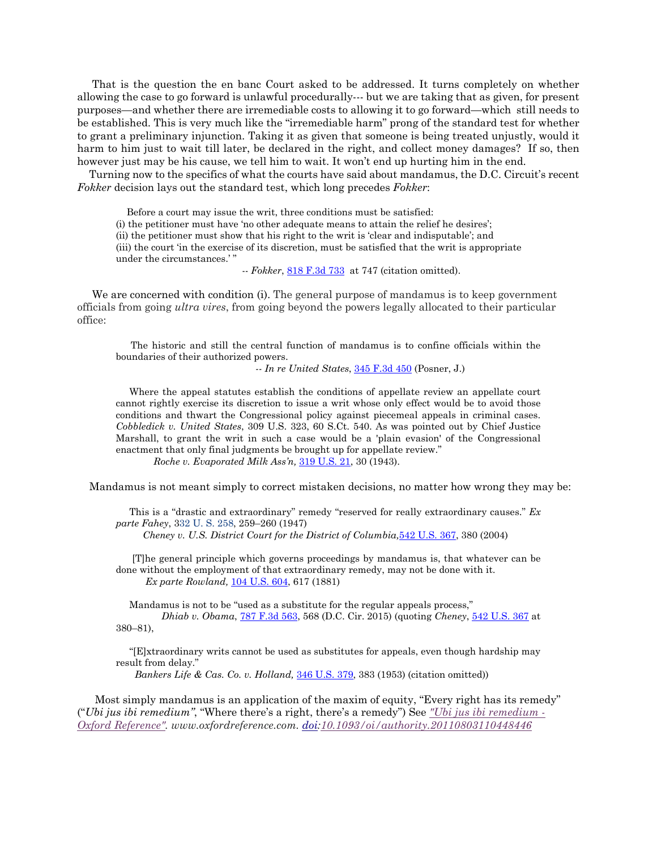That is the question the en banc Court asked to be addressed. It turns completely on whether allowing the case to go forward is unlawful procedurally--- but we are taking that as given, for present purposes—and whether there are irremediable costs to allowing it to go forward—which still needs to be established. This is very much like the "irremediable harm" prong of the standard test for whether to grant a preliminary injunction. Taking it as given that someone is being treated unjustly, would it harm to him just to wait till later, be declared in the right, and collect money damages? If so, then however just may be his cause, we tell him to wait. It won't end up hurting him in the end.

 Turning now to the specifics of what the courts have said about mandamus, the D.C. Circuit's recent *Fokker* decision lays out the standard test, which long precedes *Fokker*:

 Before a court may issue the writ, three conditions must be satisfied: (i) the petitioner must have 'no other adequate means to attain the relief he desires'; (ii) the petitioner must show that his right to the writ is 'clear and indisputable'; and (iii) the court 'in the exercise of its discretion, must be satisfied that the writ is appropriate under the circumstances.'

-- *Fokker*, 818 F.3d 733 at 747 (citation omitted).

We are concerned with condition (i). The general purpose of mandamus is to keep government officials from going *ultra vires*, from going beyond the powers legally allocated to their particular office:

 The historic and still the central function of mandamus is to confine officials within the boundaries of their authorized powers.

 *-- In re United States*, 345 F.3d 450 (Posner, J.)

 Where the appeal statutes establish the conditions of appellate review an appellate court cannot rightly exercise its discretion to issue a writ whose only effect would be to avoid those conditions and thwart the Congressional policy against piecemeal appeals in criminal cases. *Cobbledick v. United States*, 309 U.S. 323, 60 S.Ct. 540. As was pointed out by Chief Justice Marshall, to grant the writ in such a case would be a 'plain evasion' of the Congressional enactment that only final judgments be brought up for appellate review."

*Roche v. Evaporated Milk Ass'n,* 319 U.S. 21, 30 (1943).

Mandamus is not meant simply to correct mistaken decisions, no matter how wrong they may be:

 This is a "drastic and extraordinary" remedy "reserved for really extraordinary causes." *Ex parte Fahey*, 332 U. S. 258, 259–260 (1947) *Cheney v. U.S. District Court for the District of Columbia,*542 U.S. 367, 380 (2004)

 [T]he general principle which governs proceedings by mandamus is, that whatever can be done without the employment of that extraordinary remedy, may not be done with it. *Ex parte Rowland,* 104 U.S. 604, 617 (1881)

 Mandamus is not to be "used as a substitute for the regular appeals process," *Dhiab v. Obama*, 787 F.3d 563, 568 (D.C. Cir. 2015) (quoting *Cheney*, 542 U.S. 367 at 380–81),

 "[E]xtraordinary writs cannot be used as substitutes for appeals, even though hardship may result from delay."

*Bankers Life & Cas. Co. v. Holland,* 346 U.S. 379, 383 (1953) (citation omitted))

 Most simply mandamus is an application of the maxim of equity, "Every right has its remedy" ("*Ubi jus ibi remedium"*, "Where there's a right, there's a remedy") See *"Ubi jus ibi remedium - Oxford Reference". www.oxfordreference.com. doi:10.1093/oi/authority.20110803110448446*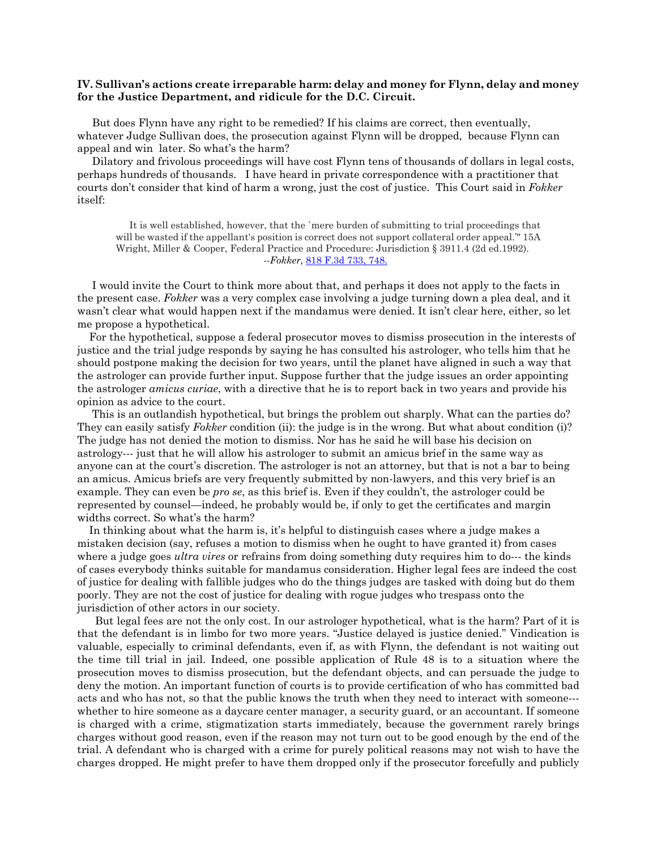### **IV. Sullivan's actions create irreparable harm: delay and money for Flynn, delay and money for the Justice Department, and ridicule for the D.C. Circuit.**

 But does Flynn have any right to be remedied? If his claims are correct, then eventually, whatever Judge Sullivan does, the prosecution against Flynn will be dropped, because Flynn can appeal and win later. So what's the harm?

 Dilatory and frivolous proceedings will have cost Flynn tens of thousands of dollars in legal costs, perhaps hundreds of thousands. I have heard in private correspondence with a practitioner that courts don't consider that kind of harm a wrong, just the cost of justice. This Court said in *Fokker* itself:

 It is well established, however, that the `mere burden of submitting to trial proceedings that will be wasted if the appellant's position is correct does not support collateral order appeal.'" 15A Wright, Miller & Cooper, Federal Practice and Procedure: Jurisdiction § 3911.4 (2d ed.1992).  *--Fokker,* 818 F.3d 733, 748.

 I would invite the Court to think more about that, and perhaps it does not apply to the facts in the present case. *Fokker* was a very complex case involving a judge turning down a plea deal, and it wasn't clear what would happen next if the mandamus were denied. It isn't clear here, either, so let me propose a hypothetical.

 For the hypothetical, suppose a federal prosecutor moves to dismiss prosecution in the interests of justice and the trial judge responds by saying he has consulted his astrologer, who tells him that he should postpone making the decision for two years, until the planet have aligned in such a way that the astrologer can provide further input. Suppose further that the judge issues an order appointing the astrologer *amicus curiae*, with a directive that he is to report back in two years and provide his opinion as advice to the court.

 This is an outlandish hypothetical, but brings the problem out sharply. What can the parties do? They can easily satisfy *Fokker* condition (ii): the judge is in the wrong. But what about condition (i)? The judge has not denied the motion to dismiss. Nor has he said he will base his decision on astrology--- just that he will allow his astrologer to submit an amicus brief in the same way as anyone can at the court's discretion. The astrologer is not an attorney, but that is not a bar to being an amicus. Amicus briefs are very frequently submitted by non-lawyers, and this very brief is an example. They can even be *pro se*, as this brief is. Even if they couldn't, the astrologer could be represented by counsel—indeed, he probably would be, if only to get the certificates and margin widths correct. So what's the harm?

 In thinking about what the harm is, it's helpful to distinguish cases where a judge makes a mistaken decision (say, refuses a motion to dismiss when he ought to have granted it) from cases where a judge goes *ultra vires* or refrains from doing something duty requires him to do--- the kinds of cases everybody thinks suitable for mandamus consideration. Higher legal fees are indeed the cost of justice for dealing with fallible judges who do the things judges are tasked with doing but do them poorly. They are not the cost of justice for dealing with rogue judges who trespass onto the jurisdiction of other actors in our society.

 But legal fees are not the only cost. In our astrologer hypothetical, what is the harm? Part of it is that the defendant is in limbo for two more years. "Justice delayed is justice denied." Vindication is valuable, especially to criminal defendants, even if, as with Flynn, the defendant is not waiting out the time till trial in jail. Indeed, one possible application of Rule 48 is to a situation where the prosecution moves to dismiss prosecution, but the defendant objects, and can persuade the judge to deny the motion. An important function of courts is to provide certification of who has committed bad acts and who has not, so that the public knows the truth when they need to interact with someone-- whether to hire someone as a daycare center manager, a security guard, or an accountant. If someone is charged with a crime, stigmatization starts immediately, because the government rarely brings charges without good reason, even if the reason may not turn out to be good enough by the end of the trial. A defendant who is charged with a crime for purely political reasons may not wish to have the charges dropped. He might prefer to have them dropped only if the prosecutor forcefully and publicly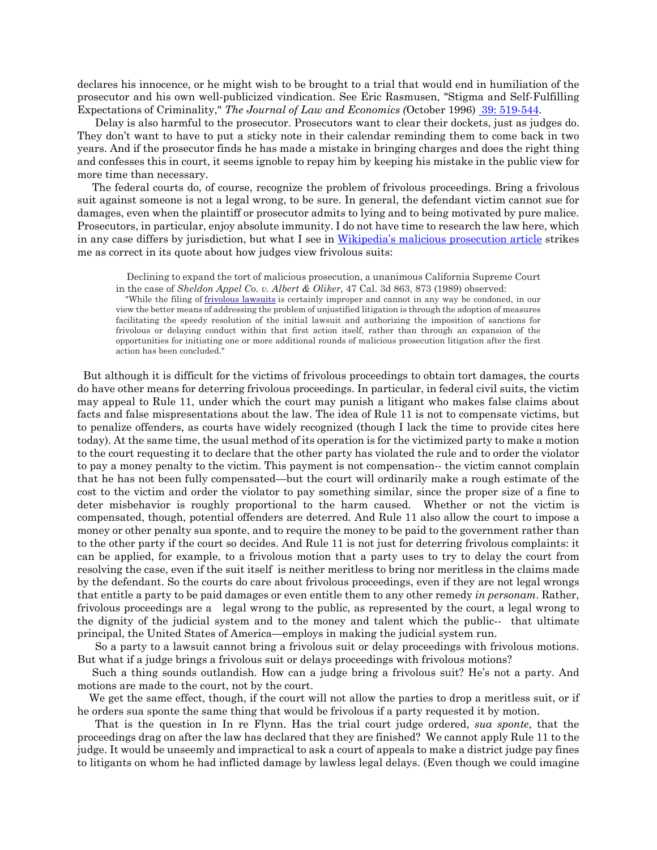declares his innocence, or he might wish to be brought to a trial that would end in humiliation of the prosecutor and his own well-publicized vindication. See Eric Rasmusen, "Stigma and Self-Fulfilling Expectations of Criminality," *The Journal of Law and Economics (*October 1996) 39: 519-544.

 Delay is also harmful to the prosecutor. Prosecutors want to clear their dockets, just as judges do. They don't want to have to put a sticky note in their calendar reminding them to come back in two years. And if the prosecutor finds he has made a mistake in bringing charges and does the right thing and confesses this in court, it seems ignoble to repay him by keeping his mistake in the public view for more time than necessary.

 The federal courts do, of course, recognize the problem of frivolous proceedings. Bring a frivolous suit against someone is not a legal wrong, to be sure. In general, the defendant victim cannot sue for damages, even when the plaintiff or prosecutor admits to lying and to being motivated by pure malice. Prosecutors, in particular, enjoy absolute immunity. I do not have time to research the law here, which in any case differs by jurisdiction, but what I see in Wikipedia's malicious prosecution article strikes me as correct in its quote about how judges view frivolous suits:

 Declining to expand the tort of malicious prosecution, a unanimous California Supreme Court in the case of *Sheldon Appel Co. v. Albert & Oliker*, 47 Cal. 3d 863, 873 (1989) observed:

 "While the filing of frivolous lawsuits is certainly improper and cannot in any way be condoned, in our view the better means of addressing the problem of unjustified litigation is through the adoption of measures facilitating the speedy resolution of the initial lawsuit and authorizing the imposition of sanctions for frivolous or delaying conduct within that first action itself, rather than through an expansion of the opportunities for initiating one or more additional rounds of malicious prosecution litigation after the first action has been concluded."

 But although it is difficult for the victims of frivolous proceedings to obtain tort damages, the courts do have other means for deterring frivolous proceedings. In particular, in federal civil suits, the victim may appeal to Rule 11, under which the court may punish a litigant who makes false claims about facts and false mispresentations about the law. The idea of Rule 11 is not to compensate victims, but to penalize offenders, as courts have widely recognized (though I lack the time to provide cites here today). At the same time, the usual method of its operation is for the victimized party to make a motion to the court requesting it to declare that the other party has violated the rule and to order the violator to pay a money penalty to the victim. This payment is not compensation-- the victim cannot complain that he has not been fully compensated—but the court will ordinarily make a rough estimate of the cost to the victim and order the violator to pay something similar, since the proper size of a fine to deter misbehavior is roughly proportional to the harm caused. Whether or not the victim is compensated, though, potential offenders are deterred. And Rule 11 also allow the court to impose a money or other penalty sua sponte, and to require the money to be paid to the government rather than to the other party if the court so decides. And Rule 11 is not just for deterring frivolous complaints: it can be applied, for example, to a frivolous motion that a party uses to try to delay the court from resolving the case, even if the suit itself is neither meritless to bring nor meritless in the claims made by the defendant. So the courts do care about frivolous proceedings, even if they are not legal wrongs that entitle a party to be paid damages or even entitle them to any other remedy *in personam*. Rather, frivolous proceedings are a legal wrong to the public, as represented by the court, a legal wrong to the dignity of the judicial system and to the money and talent which the public-- that ultimate principal, the United States of America—employs in making the judicial system run.

 So a party to a lawsuit cannot bring a frivolous suit or delay proceedings with frivolous motions. But what if a judge brings a frivolous suit or delays proceedings with frivolous motions?

 Such a thing sounds outlandish. How can a judge bring a frivolous suit? He's not a party. And motions are made to the court, not by the court.

 We get the same effect, though, if the court will not allow the parties to drop a meritless suit, or if he orders sua sponte the same thing that would be frivolous if a party requested it by motion.

 That is the question in In re Flynn. Has the trial court judge ordered, *sua sponte*, that the proceedings drag on after the law has declared that they are finished? We cannot apply Rule 11 to the judge. It would be unseemly and impractical to ask a court of appeals to make a district judge pay fines to litigants on whom he had inflicted damage by lawless legal delays. (Even though we could imagine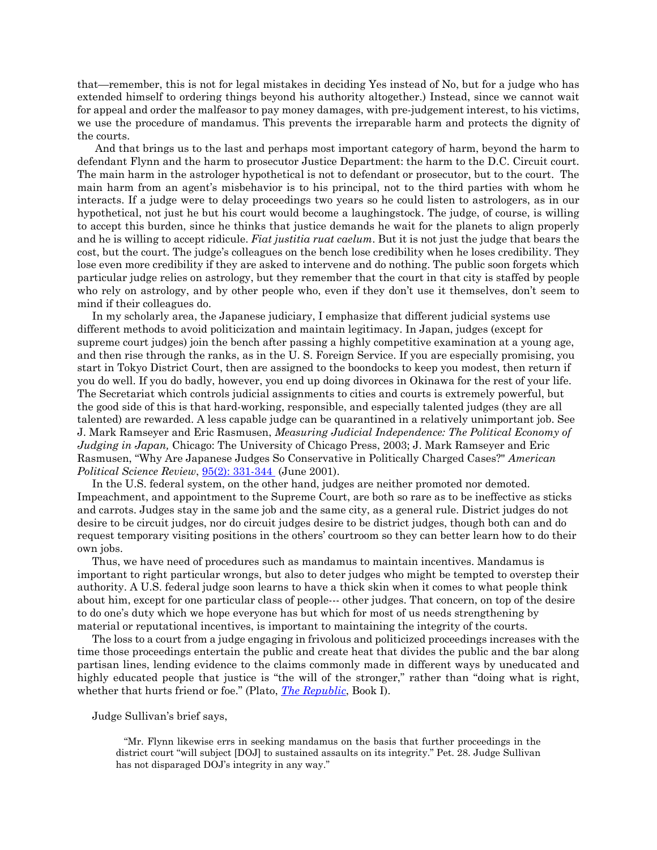that—remember, this is not for legal mistakes in deciding Yes instead of No, but for a judge who has extended himself to ordering things beyond his authority altogether.) Instead, since we cannot wait for appeal and order the malfeasor to pay money damages, with pre-judgement interest, to his victims, we use the procedure of mandamus. This prevents the irreparable harm and protects the dignity of the courts.

 And that brings us to the last and perhaps most important category of harm, beyond the harm to defendant Flynn and the harm to prosecutor Justice Department: the harm to the D.C. Circuit court. The main harm in the astrologer hypothetical is not to defendant or prosecutor, but to the court. The main harm from an agent's misbehavior is to his principal, not to the third parties with whom he interacts. If a judge were to delay proceedings two years so he could listen to astrologers, as in our hypothetical, not just he but his court would become a laughingstock. The judge, of course, is willing to accept this burden, since he thinks that justice demands he wait for the planets to align properly and he is willing to accept ridicule. *Fiat justitia ruat caelum*. But it is not just the judge that bears the cost, but the court. The judge's colleagues on the bench lose credibility when he loses credibility. They lose even more credibility if they are asked to intervene and do nothing. The public soon forgets which particular judge relies on astrology, but they remember that the court in that city is staffed by people who rely on astrology, and by other people who, even if they don't use it themselves, don't seem to mind if their colleagues do.

 In my scholarly area, the Japanese judiciary, I emphasize that different judicial systems use different methods to avoid politicization and maintain legitimacy. In Japan, judges (except for supreme court judges) join the bench after passing a highly competitive examination at a young age, and then rise through the ranks, as in the U. S. Foreign Service. If you are especially promising, you start in Tokyo District Court, then are assigned to the boondocks to keep you modest, then return if you do well. If you do badly, however, you end up doing divorces in Okinawa for the rest of your life. The Secretariat which controls judicial assignments to cities and courts is extremely powerful, but the good side of this is that hard-working, responsible, and especially talented judges (they are all talented) are rewarded. A less capable judge can be quarantined in a relatively unimportant job. See J. Mark Ramseyer and Eric Rasmusen, *Measuring Judicial Independence: The Political Economy of Judging in Japan,* Chicago: The University of Chicago Press, 2003; J. Mark Ramseyer and Eric Rasmusen, "Why Are Japanese Judges So Conservative in Politically Charged Cases?" *American Political Science Review*, 95(2): 331-344 (June 2001).

 In the U.S. federal system, on the other hand, judges are neither promoted nor demoted. Impeachment, and appointment to the Supreme Court, are both so rare as to be ineffective as sticks and carrots. Judges stay in the same job and the same city, as a general rule. District judges do not desire to be circuit judges, nor do circuit judges desire to be district judges, though both can and do request temporary visiting positions in the others' courtroom so they can better learn how to do their own jobs.

 Thus, we have need of procedures such as mandamus to maintain incentives. Mandamus is important to right particular wrongs, but also to deter judges who might be tempted to overstep their authority. A U.S. federal judge soon learns to have a thick skin when it comes to what people think about him, except for one particular class of people--- other judges. That concern, on top of the desire to do one's duty which we hope everyone has but which for most of us needs strengthening by material or reputational incentives, is important to maintaining the integrity of the courts.

 The loss to a court from a judge engaging in frivolous and politicized proceedings increases with the time those proceedings entertain the public and create heat that divides the public and the bar along partisan lines, lending evidence to the claims commonly made in different ways by uneducated and highly educated people that justice is "the will of the stronger," rather than "doing what is right, whether that hurts friend or foe." (Plato, *The Republic*, Book I).

Judge Sullivan's brief says,

 "Mr. Flynn likewise errs in seeking mandamus on the basis that further proceedings in the district court "will subject [DOJ] to sustained assaults on its integrity." Pet. 28. Judge Sullivan has not disparaged DOJ's integrity in any way."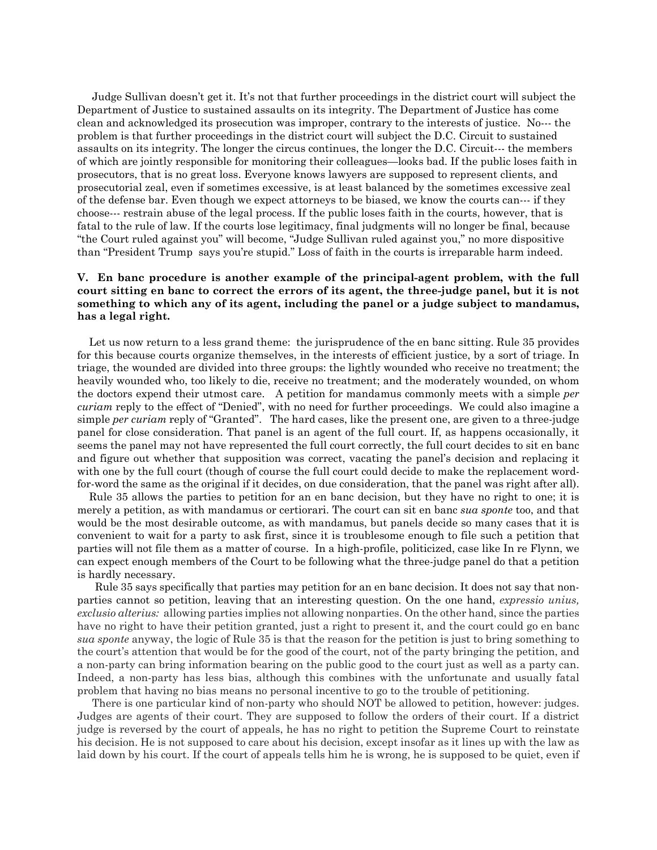Judge Sullivan doesn't get it. It's not that further proceedings in the district court will subject the Department of Justice to sustained assaults on its integrity. The Department of Justice has come clean and acknowledged its prosecution was improper, contrary to the interests of justice. No--- the problem is that further proceedings in the district court will subject the D.C. Circuit to sustained assaults on its integrity. The longer the circus continues, the longer the D.C. Circuit--- the members of which are jointly responsible for monitoring their colleagues—looks bad. If the public loses faith in prosecutors, that is no great loss. Everyone knows lawyers are supposed to represent clients, and prosecutorial zeal, even if sometimes excessive, is at least balanced by the sometimes excessive zeal of the defense bar. Even though we expect attorneys to be biased, we know the courts can--- if they choose--- restrain abuse of the legal process. If the public loses faith in the courts, however, that is fatal to the rule of law. If the courts lose legitimacy, final judgments will no longer be final, because "the Court ruled against you" will become, "Judge Sullivan ruled against you," no more dispositive than "President Trump says you're stupid." Loss of faith in the courts is irreparable harm indeed.

## **V. En banc procedure is another example of the principal-agent problem, with the full court sitting en banc to correct the errors of its agent, the three-judge panel, but it is not something to which any of its agent, including the panel or a judge subject to mandamus, has a legal right.**

Let us now return to a less grand theme: the jurisprudence of the en banc sitting. Rule 35 provides for this because courts organize themselves, in the interests of efficient justice, by a sort of triage. In triage, the wounded are divided into three groups: the lightly wounded who receive no treatment; the heavily wounded who, too likely to die, receive no treatment; and the moderately wounded, on whom the doctors expend their utmost care. A petition for mandamus commonly meets with a simple *per curiam* reply to the effect of "Denied", with no need for further proceedings. We could also imagine a simple *per curiam* reply of "Granted". The hard cases, like the present one, are given to a three-judge panel for close consideration. That panel is an agent of the full court. If, as happens occasionally, it seems the panel may not have represented the full court correctly, the full court decides to sit en banc and figure out whether that supposition was correct, vacating the panel's decision and replacing it with one by the full court (though of course the full court could decide to make the replacement wordfor-word the same as the original if it decides, on due consideration, that the panel was right after all).

 Rule 35 allows the parties to petition for an en banc decision, but they have no right to one; it is merely a petition, as with mandamus or certiorari. The court can sit en banc *sua sponte* too, and that would be the most desirable outcome, as with mandamus, but panels decide so many cases that it is convenient to wait for a party to ask first, since it is troublesome enough to file such a petition that parties will not file them as a matter of course. In a high-profile, politicized, case like In re Flynn, we can expect enough members of the Court to be following what the three-judge panel do that a petition is hardly necessary.

 Rule 35 says specifically that parties may petition for an en banc decision. It does not say that nonparties cannot so petition, leaving that an interesting question. On the one hand, *expressio unius, exclusio alterius:* allowing parties implies not allowing nonparties. On the other hand, since the parties have no right to have their petition granted, just a right to present it, and the court could go en banc *sua sponte* anyway, the logic of Rule 35 is that the reason for the petition is just to bring something to the court's attention that would be for the good of the court, not of the party bringing the petition, and a non-party can bring information bearing on the public good to the court just as well as a party can. Indeed, a non-party has less bias, although this combines with the unfortunate and usually fatal problem that having no bias means no personal incentive to go to the trouble of petitioning.

 There is one particular kind of non-party who should NOT be allowed to petition, however: judges. Judges are agents of their court. They are supposed to follow the orders of their court. If a district judge is reversed by the court of appeals, he has no right to petition the Supreme Court to reinstate his decision. He is not supposed to care about his decision, except insofar as it lines up with the law as laid down by his court. If the court of appeals tells him he is wrong, he is supposed to be quiet, even if